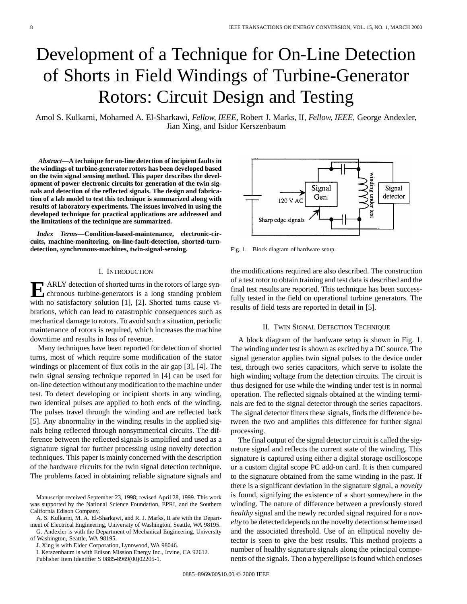# Development of a Technique for On-Line Detection of Shorts in Field Windings of Turbine-Generator Rotors: Circuit Design and Testing

Amol S. Kulkarni, Mohamed A. El-Sharkawi*, Fellow, IEEE*, Robert J. Marks, II*, Fellow, IEEE*, George Andexler, Jian Xing, and Isidor Kerszenbaum

*Abstract—***A technique for on-line detection of incipient faults in the windings of turbine-generator rotors has been developed based on the twin signal sensing method. This paper describes the development of power electronic circuits for generation of the twin signals and detection of the reflected signals. The design and fabrication of a lab model to test this technique is summarized along with results of laboratory experiments. The issues involved in using the developed technique for practical applications are addressed and the limitations of the technique are summarized.**

*Index Terms—***Condition-based-maintenance, electronic-circuits, machine-monitoring, on-line-fault-detection, shorted-turndetection, synchronous-machines, twin-signal-sensing.**

## I. INTRODUCTION

**E** ARLY detection of shorted turns in the rotors of large syn-<br>chronous turbing concenters chronous turbine-generators is a long standing problem with no satisfactory solution [1], [2]. Shorted turns cause vibrations, which can lead to catastrophic consequences such as mechanical damage to rotors. To avoid such a situation, periodic maintenance of rotors is required, which increases the machine downtime and results in loss of revenue.

Many techniques have been reported for detection of shorted turns, most of which require some modification of the stator windings or placement of flux coils in the air gap [3], [4]. The twin signal sensing technique reported in [4] can be used for on-line detection without any modification to the machine under test. To detect developing or incipient shorts in any winding, two identical pulses are applied to both ends of the winding. The pulses travel through the winding and are reflected back [5]. Any abnormality in the winding results in the applied signals being reflected through nonsymmetrical circuits. The difference between the reflected signals is amplified and used as a signature signal for further processing using novelty detection techniques. This paper is mainly concerned with the description of the hardware circuits for the twin signal detection technique. The problems faced in obtaining reliable signature signals and

Signal Signal Gen. detector  $120$  V AC **CSS** Sharp edge signals

Fig. 1. Block diagram of hardware setup.

the modifications required are also described. The construction of a test rotor to obtain training and test data is described and the final test results are reported. This technique has been successfully tested in the field on operational turbine generators. The results of field tests are reported in detail in [5].

#### II. TWIN SIGNAL DETECTION TECHNIQUE

A block diagram of the hardware setup is shown in Fig. 1. The winding under test is shown as excited by a DC source. The signal generator applies twin signal pulses to the device under test, through two series capacitors, which serve to isolate the high winding voltage from the detection circuits. The circuit is thus designed for use while the winding under test is in normal operation. The reflected signals obtained at the winding terminals are fed to the signal detector through the series capacitors. The signal detector filters these signals, finds the difference between the two and amplifies this difference for further signal processing.

The final output of the signal detector circuit is called the signature signal and reflects the current state of the winding. This signature is captured using either a digital storage oscilloscope or a custom digital scope PC add-on card. It is then compared to the signature obtained from the same winding in the past. If there is a significant deviation in the signature signal, a *novelty* is found, signifying the existence of a short somewhere in the winding. The nature of difference between a previously stored *healthy* signal and the newly recorded signal required for a *novelty* to be detected depends on the novelty detection scheme used and the associated threshold. Use of an elliptical novelty detector is seen to give the best results. This method projects a number of healthy signature signals along the principal components of the signals. Then a hyperellipse is found which encloses



Manuscript received September 23, 1998; revised April 28, 1999. This work was supported by the National Science Foundation, EPRI, and the Southern California Edison Company.

A. S. Kulkarni, M. A. El-Sharkawi, and R. J. Marks, II are with the Department of Electrical Engineering, University of Washington, Seattle, WA 98195. G. Andexler is with the Department of Mechanical Engineering, University

of Washington, Seattle, WA 98195.

J. Xing is with Eldec Corporation, Lynnwood, WA 98046.

I. Kerszenbaum is with Edison Mission Energy Inc., Irvine, CA 92612.

Publisher Item Identifier S 0885-8969(00)02205-1.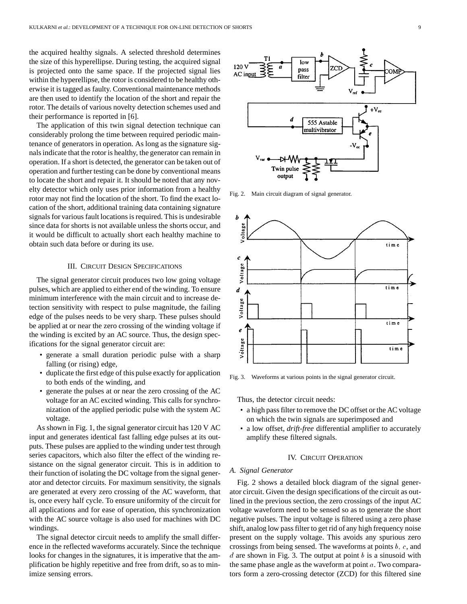the acquired healthy signals. A selected threshold determines the size of this hyperellipse. During testing, the acquired signal is projected onto the same space. If the projected signal lies within the hyperellipse, the rotor is considered to be healthy otherwise it is tagged as faulty. Conventional maintenance methods are then used to identify the location of the short and repair the rotor. The details of various novelty detection schemes used and their performance is reported in [6].

The application of this twin signal detection technique can considerably prolong the time between required periodic maintenance of generators in operation. As long as the signature signals indicate that the rotor is healthy, the generator can remain in operation. If a short is detected, the generator can be taken out of operation and further testing can be done by conventional means to locate the short and repair it. It should be noted that any novelty detector which only uses prior information from a healthy rotor may not find the location of the short. To find the exact location of the short, additional training data containing signature signals for various fault locations is required. This is undesirable since data for shorts is not available unless the shorts occur, and it would be difficult to actually short each healthy machine to obtain such data before or during its use.

## III. CIRCUIT DESIGN SPECIFICATIONS

The signal generator circuit produces two low going voltage pulses, which are applied to either end of the winding. To ensure minimum interference with the main circuit and to increase detection sensitivity with respect to pulse magnitude, the failing edge of the pulses needs to be very sharp. These pulses should be applied at or near the zero crossing of the winding voltage if the winding is excited by an AC source. Thus, the design specifications for the signal generator circuit are:

- generate a small duration periodic pulse with a sharp falling (or rising) edge,
- duplicate the first edge of this pulse exactly for application to both ends of the winding, and
- generate the pulses at or near the zero crossing of the AC voltage for an AC excited winding. This calls for synchronization of the applied periodic pulse with the system AC voltage.

As shown in Fig. 1, the signal generator circuit has 120 V AC input and generates identical fast falling edge pulses at its outputs. These pulses are applied to the winding under test through series capacitors, which also filter the effect of the winding resistance on the signal generator circuit. This is in addition to their function of isolating the DC voltage from the signal generator and detector circuits. For maximum sensitivity, the signals are generated at every zero crossing of the AC waveform, that is, once every half cycle. To ensure uniformity of the circuit for all applications and for ease of operation, this synchronization with the AC source voltage is also used for machines with DC windings.

The signal detector circuit needs to amplify the small difference in the reflected waveforms accurately. Since the technique looks for changes in the signatures, it is imperative that the amplification be highly repetitive and free from drift, so as to minimize sensing errors.



Fig. 2. Main circuit diagram of signal generator.



Fig. 3. Waveforms at various points in the signal generator circuit.

Thus, the detector circuit needs:

- a high pass filter to remove the DC offset or the AC voltage on which the twin signals are superimposed and
- a low offset, *drift-free* differential amplifier to accurately amplify these filtered signals.

## IV. CIRCUIT OPERATION

# *A. Signal Generator*

Fig. 2 shows a detailed block diagram of the signal generator circuit. Given the design specifications of the circuit as outlined in the previous section, the zero crossings of the input AC voltage waveform need to be sensed so as to generate the short negative pulses. The input voltage is filtered using a zero phase shift, analog low pass filter to get rid of any high frequency noise present on the supply voltage. This avoids any spurious zero crossings from being sensed. The waveforms at points  $b, c,$  and  $d$  are shown in Fig. 3. The output at point  $b$  is a sinusoid with the same phase angle as the waveform at point  $a$ . Two comparators form a zero-crossing detector (ZCD) for this filtered sine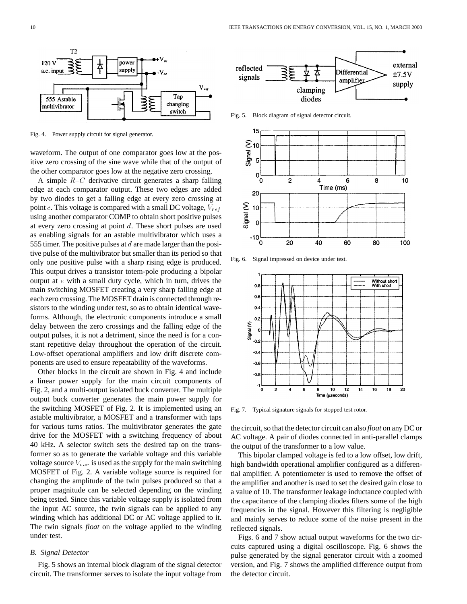

Fig. 4. Power supply circuit for signal generator.

waveform. The output of one comparator goes low at the positive zero crossing of the sine wave while that of the output of the other comparator goes low at the negative zero crossing.

A simple  $R-C$  derivative circuit generates a sharp falling edge at each comparator output. These two edges are added by two diodes to get a falling edge at every zero crossing at point c. This voltage is compared with a small DC voltage,  $V_{ref}$ using another comparator COMP to obtain short positive pulses at every zero crossing at point  $d$ . These short pulses are used as enabling signals for an astable multivibrator which uses a 555 timer. The positive pulses at  $d$  are made larger than the positive pulse of the multivibrator but smaller than its period so that only one positive pulse with a sharp rising edge is produced. This output drives a transistor totem-pole producing a bipolar output at  $e$  with a small duty cycle, which in turn, drives the main switching MOSFET creating a very sharp falling edge at each zero crossing. The MOSFET drain is connected through resistors to the winding under test, so as to obtain identical waveforms. Although, the electronic components introduce a small delay between the zero crossings and the falling edge of the output pulses, it is not a detriment, since the need is for a constant repetitive delay throughout the operation of the circuit. Low-offset operational amplifiers and low drift discrete components are used to ensure repeatability of the waveforms.

Other blocks in the circuit are shown in Fig. 4 and include a linear power supply for the main circuit components of Fig. 2, and a multi-output isolated buck converter. The multiple output buck converter generates the main power supply for the switching MOSFET of Fig. 2. It is implemented using an astable multivibrator, a MOSFET and a transformer with taps for various turns ratios. The multivibrator generates the gate drive for the MOSFET with a switching frequency of about 40 kHz. A selector switch sets the desired tap on the transformer so as to generate the variable voltage and this variable voltage source  $V_{var}$  is used as the supply for the main switching MOSFET of Fig. 2. A variable voltage source is required for changing the amplitude of the twin pulses produced so that a proper magnitude can be selected depending on the winding being tested. Since this variable voltage supply is isolated from the input AC source, the twin signals can be applied to any winding which has additional DC or AC voltage applied to it. The twin signals *float* on the voltage applied to the winding under test.

# *B. Signal Detector*

Fig. 5 shows an internal block diagram of the signal detector circuit. The transformer serves to isolate the input voltage from



Fig. 5. Block diagram of signal detector circuit.



Fig. 6. Signal impressed on device under test.



Fig. 7. Typical signature signals for stopped test rotor.

the circuit, so that the detector circuit can also *float* on any DC or AC voltage. A pair of diodes connected in anti-parallel clamps the output of the transformer to a low value.

This bipolar clamped voltage is fed to a low offset, low drift, high bandwidth operational amplifier configured as a differential amplifier. A potentiometer is used to remove the offset of the amplifier and another is used to set the desired gain close to a value of 10. The transformer leakage inductance coupled with the capacitance of the clamping diodes filters some of the high frequencies in the signal. However this filtering is negligible and mainly serves to reduce some of the noise present in the reflected signals.

Figs. 6 and 7 show actual output waveforms for the two circuits captured using a digital oscilloscope. Fig. 6 shows the pulse generated by the signal generator circuit with a zoomed version, and Fig. 7 shows the amplified difference output from the detector circuit.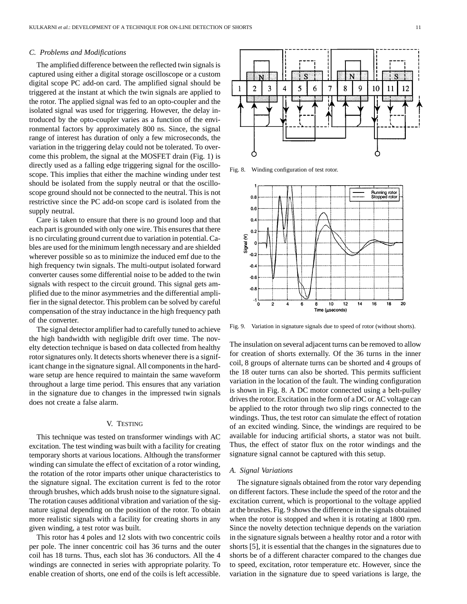#### *C. Problems and Modifications*

The amplified difference between the reflected twin signals is captured using either a digital storage oscilloscope or a custom digital scope PC add-on card. The amplified signal should be triggered at the instant at which the twin signals are applied to the rotor. The applied signal was fed to an opto-coupler and the isolated signal was used for triggering. However, the delay introduced by the opto-coupler varies as a function of the environmental factors by approximately 800 ns. Since, the signal range of interest has duration of only a few microseconds, the variation in the triggering delay could not be tolerated. To overcome this problem, the signal at the MOSFET drain (Fig. 1) is directly used as a falling edge triggering signal for the oscilloscope. This implies that either the machine winding under test should be isolated from the supply neutral or that the oscilloscope ground should not be connected to the neutral. This is not restrictive since the PC add-on scope card is isolated from the supply neutral.

Care is taken to ensure that there is no ground loop and that each part is grounded with only one wire. This ensures that there is no circulating ground current due to variation in potential. Cables are used for the minimum length necessary and are shielded wherever possible so as to minimize the induced emf due to the high frequency twin signals. The multi-output isolated forward converter causes some differential noise to be added to the twin signals with respect to the circuit ground. This signal gets amplified due to the minor asymmetries and the differential amplifier in the signal detector. This problem can be solved by careful compensation of the stray inductance in the high frequency path of the converter.

The signal detector amplifier had to carefully tuned to achieve the high bandwidth with negligible drift over time. The novelty detection technique is based on data collected from healthy rotor signatures only. It detects shorts whenever there is a significant change in the signature signal. All components in the hardware setup are hence required to maintain the same waveform throughout a large time period. This ensures that any variation in the signature due to changes in the impressed twin signals does not create a false alarm.

## V. TESTING

This technique was tested on transformer windings with AC excitation. The test winding was built with a facility for creating temporary shorts at various locations. Although the transformer winding can simulate the effect of excitation of a rotor winding, the rotation of the rotor imparts other unique characteristics to the signature signal. The excitation current is fed to the rotor through brushes, which adds brush noise to the signature signal. The rotation causes additional vibration and variation of the signature signal depending on the position of the rotor. To obtain more realistic signals with a facility for creating shorts in any given winding, a test rotor was built.

This rotor has 4 poles and 12 slots with two concentric coils per pole. The inner concentric coil has 36 turns and the outer coil has 18 turns. Thus, each slot has 36 conductors. All the 4 windings are connected in series with appropriate polarity. To enable creation of shorts, one end of the coils is left accessible.



Fig. 8. Winding configuration of test rotor.



Fig. 9. Variation in signature signals due to speed of rotor (without shorts).

The insulation on several adjacent turns can be removed to allow for creation of shorts externally. Of the 36 turns in the inner coil, 8 groups of alternate turns can be shorted and 4 groups of the 18 outer turns can also be shorted. This permits sufficient variation in the location of the fault. The winding configuration is shown in Fig. 8. A DC motor connected using a belt-pulley drives the rotor. Excitation in the form of a DC or AC voltage can be applied to the rotor through two slip rings connected to the windings. Thus, the test rotor can simulate the effect of rotation of an excited winding. Since, the windings are required to be available for inducing artificial shorts, a stator was not built. Thus, the effect of stator flux on the rotor windings and the signature signal cannot be captured with this setup.

## *A. Signal Variations*

The signature signals obtained from the rotor vary depending on different factors. These include the speed of the rotor and the excitation current, which is proportional to the voltage applied at the brushes. Fig. 9 shows the difference in the signals obtained when the rotor is stopped and when it is rotating at 1800 rpm. Since the novelty detection technique depends on the variation in the signature signals between a healthy rotor and a rotor with shorts [5], it is essential that the changes in the signatures due to shorts be of a different character compared to the changes due to speed, excitation, rotor temperature etc. However, since the variation in the signature due to speed variations is large, the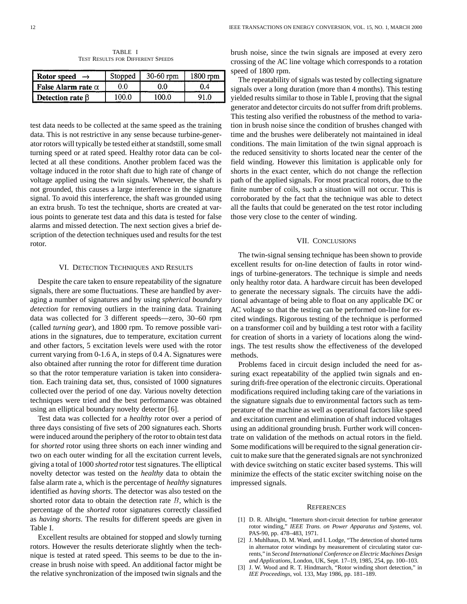| Rotor speed               | Stopped | $30-60$ rpm | $1800$ rpm |
|---------------------------|---------|-------------|------------|
| False Alarm rate $\alpha$ | 0.0     | 0.0         | D.4        |
| Detection rate $\beta$    | 100.0   | 100 O       | 91 N       |

TABLE I TEST RESULTS FOR DIFFERENT SPEEDS

test data needs to be collected at the same speed as the training data. This is not restrictive in any sense because turbine-generator rotors will typically be tested either at standstill, some small turning speed or at rated speed. Healthy rotor data can be collected at all these conditions. Another problem faced was the voltage induced in the rotor shaft due to high rate of change of voltage applied using the twin signals. Whenever, the shaft is not grounded, this causes a large interference in the signature signal. To avoid this interference, the shaft was grounded using an extra brush. To test the technique, shorts are created at various points to generate test data and this data is tested for false alarms and missed detection. The next section gives a brief description of the detection techniques used and results for the test rotor.

## VI. DETECTION TECHNIQUES AND RESULTS

Despite the care taken to ensure repeatability of the signature signals, there are some fluctuations. These are handled by averaging a number of signatures and by using *spherical boundary detection* for removing outliers in the training data. Training data was collected for 3 different speeds—zero, 30–60 rpm (called *turning gear*), and 1800 rpm. To remove possible variations in the signatures, due to temperature, excitation current and other factors, 5 excitation levels were used with the rotor current varying from 0-1.6 A, in steps of 0.4 A. Signatures were also obtained after running the rotor for different time duration so that the rotor temperature variation is taken into consideration. Each training data set, thus, consisted of 1000 signatures collected over the period of one day. Various novelty detection techniques were tried and the best performance was obtained using an elliptical boundary novelty detector [6].

Test data was collected for a *healthy* rotor over a period of three days consisting of five sets of 200 signatures each. Shorts were induced around the periphery of the rotor to obtain test data for *shorted* rotor using three shorts on each inner winding and two on each outer winding for all the excitation current levels, giving a total of 1000 *shorted* rotor test signatures. The elliptical novelty detector was tested on the *healthy* data to obtain the false alarm rate a, which is the percentage of *healthy* signatures identified as *having shorts*. The detector was also tested on the shorted rotor data to obtain the detection rate  $B$ , which is the percentage of the *shorted* rotor signatures correctly classified as *having shorts*. The results for different speeds are given in Table I.

Excellent results are obtained for stopped and slowly turning rotors. However the results deteriorate slightly when the technique is tested at rated speed. This seems to be due to the increase in brush noise with speed. An additional factor might be the relative synchronization of the imposed twin signals and the brush noise, since the twin signals are imposed at every zero crossing of the AC line voltage which corresponds to a rotation speed of 1800 rpm.

The repeatability of signals was tested by collecting signature signals over a long duration (more than 4 months). This testing yielded results similar to those in Table I, proving that the signal generator and detector circuits do not suffer from drift problems. This testing also verified the robustness of the method to variation in brush noise since the condition of brushes changed with time and the brushes were deliberately not maintained in ideal conditions. The main limitation of the twin signal approach is the reduced sensitivity to shorts located near the center of the field winding. However this limitation is applicable only for shorts in the exact center, which do not change the reflection path of the applied signals. For most practical rotors, due to the finite number of coils, such a situation will not occur. This is corroborated by the fact that the technique was able to detect all the faults that could be generated on the test rotor including those very close to the center of winding.

#### VII. CONCLUSIONS

The twin-signal sensing technique has been shown to provide excellent results for on-line detection of faults in rotor windings of turbine-generators. The technique is simple and needs only healthy rotor data. A hardware circuit has been developed to generate the necessary signals. The circuits have the additional advantage of being able to float on any applicable DC or AC voltage so that the testing can be performed on-line for excited windings. Rigorous testing of the technique is performed on a transformer coil and by building a test rotor with a facility for creation of shorts in a variety of locations along the windings. The test results show the effectiveness of the developed methods.

Problems faced in circuit design included the need for assuring exact repeatability of the applied twin signals and ensuring drift-free operation of the electronic circuits. Operational modifications required including taking care of the variations in the signature signals due to environmental factors such as temperature of the machine as well as operational factors like speed and excitation current and elimination of shaft induced voltages using an additional grounding brush. Further work will concentrate on validation of the methods on actual rotors in the field. Some modifications will be required to the signal generation circuit to make sure that the generated signals are not synchronized with device switching on static exciter based systems. This will minimize the effects of the static exciter switching noise on the impressed signals.

#### **REFERENCES**

- [1] D. R. Albright, "Interturn short-circuit detection for turbine generator rotor winding," *IEEE Trans. on Power Apparatus and Systems*, vol. PAS-90, pp. 478–483, 1971.
- [2] J. Muhlhaus, D. M. Ward, and I. Lodge, "The detection of shorted turns in alternator rotor windings by measurement of circulating stator currents," in *Second International Conference on Electric Machines Design and Applications*, London, UK, Sept. 17–19, 1985, 254, pp. 100–103.
- [3] J. W. Wood and R. T. Hindmarch, "Rotor winding short detection," in *IEE Proceedings*, vol. 133, May 1986, pp. 181–189.